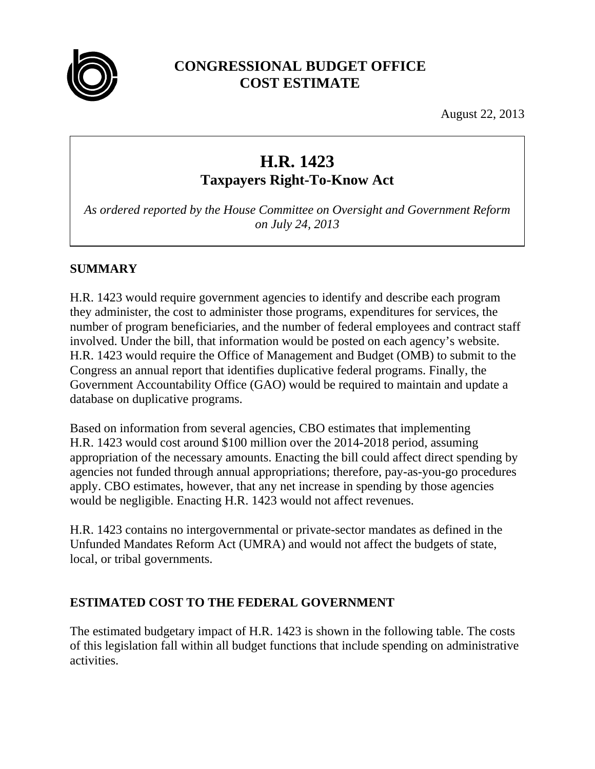

## **CONGRESSIONAL BUDGET OFFICE COST ESTIMATE**

August 22, 2013

# **H.R. 1423 Taxpayers Right-To-Know Act**

*As ordered reported by the House Committee on Oversight and Government Reform on July 24, 2013* 

## **SUMMARY**

H.R. 1423 would require government agencies to identify and describe each program they administer, the cost to administer those programs, expenditures for services, the number of program beneficiaries, and the number of federal employees and contract staff involved. Under the bill, that information would be posted on each agency's website. H.R. 1423 would require the Office of Management and Budget (OMB) to submit to the Congress an annual report that identifies duplicative federal programs. Finally, the Government Accountability Office (GAO) would be required to maintain and update a database on duplicative programs.

Based on information from several agencies, CBO estimates that implementing H.R. 1423 would cost around \$100 million over the 2014-2018 period, assuming appropriation of the necessary amounts. Enacting the bill could affect direct spending by agencies not funded through annual appropriations; therefore, pay-as-you-go procedures apply. CBO estimates, however, that any net increase in spending by those agencies would be negligible. Enacting H.R. 1423 would not affect revenues.

H.R. 1423 contains no intergovernmental or private-sector mandates as defined in the Unfunded Mandates Reform Act (UMRA) and would not affect the budgets of state, local, or tribal governments.

### **ESTIMATED COST TO THE FEDERAL GOVERNMENT**

The estimated budgetary impact of H.R. 1423 is shown in the following table. The costs of this legislation fall within all budget functions that include spending on administrative activities.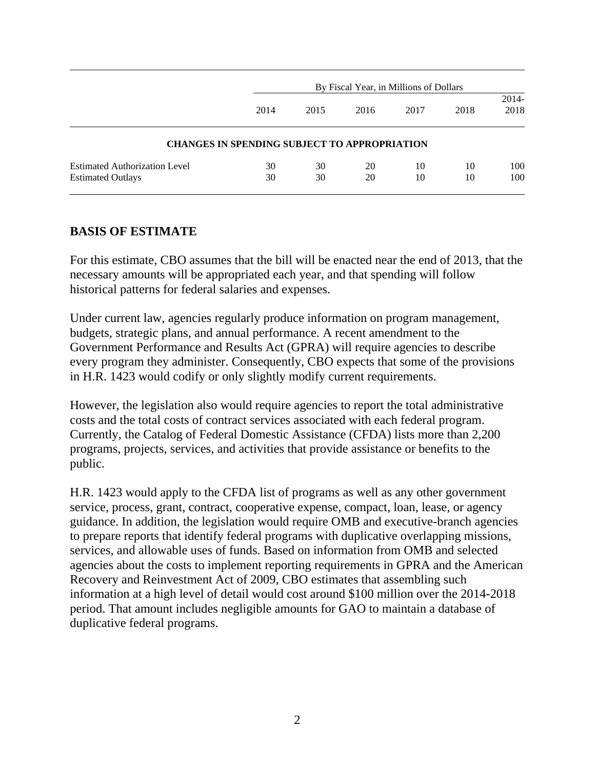|                                                                  | By Fiscal Year, in Millions of Dollars |          |          |          |          |                 |
|------------------------------------------------------------------|----------------------------------------|----------|----------|----------|----------|-----------------|
|                                                                  | 2014                                   | 2015     | 2016     | 2017     | 2018     | $2014-$<br>2018 |
| <b>CHANGES IN SPENDING SUBJECT TO APPROPRIATION</b>              |                                        |          |          |          |          |                 |
| <b>Estimated Authorization Level</b><br><b>Estimated Outlays</b> | 30<br>30                               | 30<br>30 | 20<br>20 | 10<br>10 | 10<br>10 | 100<br>100      |

#### **BASIS OF ESTIMATE**

For this estimate, CBO assumes that the bill will be enacted near the end of 2013, that the necessary amounts will be appropriated each year, and that spending will follow historical patterns for federal salaries and expenses.

Under current law, agencies regularly produce information on program management, budgets, strategic plans, and annual performance. A recent amendment to the Government Performance and Results Act (GPRA) will require agencies to describe every program they administer. Consequently, CBO expects that some of the provisions in H.R. 1423 would codify or only slightly modify current requirements.

However, the legislation also would require agencies to report the total administrative costs and the total costs of contract services associated with each federal program. Currently, the Catalog of Federal Domestic Assistance (CFDA) lists more than 2,200 programs, projects, services, and activities that provide assistance or benefits to the public.

H.R. 1423 would apply to the CFDA list of programs as well as any other government service, process, grant, contract, cooperative expense, compact, loan, lease, or agency guidance. In addition, the legislation would require OMB and executive-branch agencies to prepare reports that identify federal programs with duplicative overlapping missions, services, and allowable uses of funds. Based on information from OMB and selected agencies about the costs to implement reporting requirements in GPRA and the American Recovery and Reinvestment Act of 2009, CBO estimates that assembling such information at a high level of detail would cost around \$100 million over the 2014-2018 period. That amount includes negligible amounts for GAO to maintain a database of duplicative federal programs.